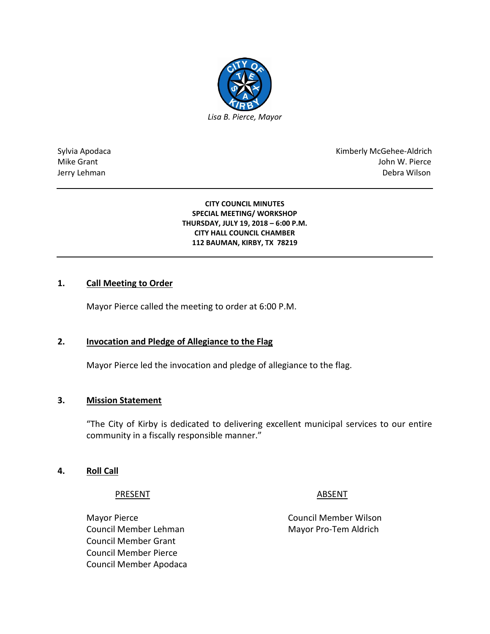

Sylvia Apodaca National Apodaca Kimberly McGehee-Aldrich Mike Grant John W. Pierce Jerry Lehman Debra Wilson

> **CITY COUNCIL MINUTES SPECIAL MEETING/ WORKSHOP THURSDAY, JULY 19, 2018 – 6:00 P.M. CITY HALL COUNCIL CHAMBER 112 BAUMAN, KIRBY, TX 78219**

## **1. Call Meeting to Order**

Mayor Pierce called the meeting to order at 6:00 P.M.

## **2. Invocation and Pledge of Allegiance to the Flag**

Mayor Pierce led the invocation and pledge of allegiance to the flag.

#### **3. Mission Statement**

"The City of Kirby is dedicated to delivering excellent municipal services to our entire community in a fiscally responsible manner."

#### **4. Roll Call**

#### PRESENT ABSENT

Mayor Pierce **Council Member Wilson** Council Member Lehman Mayor Pro-Tem Aldrich Council Member Grant Council Member Pierce Council Member Apodaca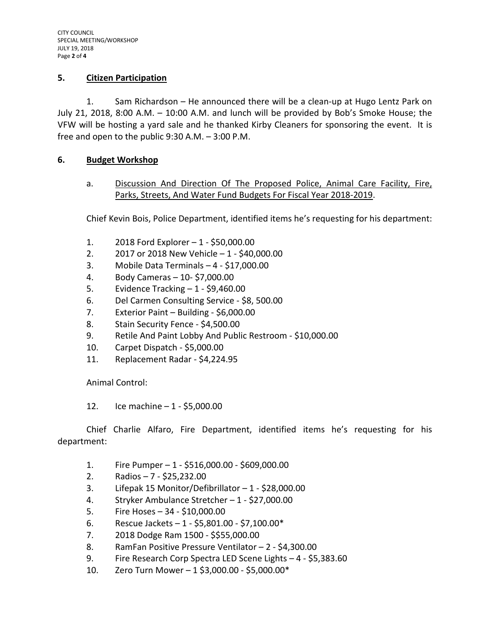## **5. Citizen Participation**

1. Sam Richardson – He announced there will be a clean-up at Hugo Lentz Park on July 21, 2018, 8:00 A.M. – 10:00 A.M. and lunch will be provided by Bob's Smoke House; the VFW will be hosting a yard sale and he thanked Kirby Cleaners for sponsoring the event. It is free and open to the public 9:30 A.M. – 3:00 P.M.

## **6. Budget Workshop**

a. Discussion And Direction Of The Proposed Police, Animal Care Facility, Fire, Parks, Streets, And Water Fund Budgets For Fiscal Year 2018-2019.

Chief Kevin Bois, Police Department, identified items he's requesting for his department:

- 1. 2018 Ford Explorer 1 \$50,000.00
- 2. 2017 or 2018 New Vehicle 1 \$40,000.00
- 3. Mobile Data Terminals 4 \$17,000.00
- 4. Body Cameras 10- \$7,000.00
- 5. Evidence Tracking 1 \$9,460.00
- 6. Del Carmen Consulting Service \$8, 500.00
- 7. Exterior Paint Building \$6,000.00
- 8. Stain Security Fence \$4,500.00
- 9. Retile And Paint Lobby And Public Restroom \$10,000.00
- 10. Carpet Dispatch \$5,000.00
- 11. Replacement Radar \$4,224.95

Animal Control:

12. Ice machine – 1 - \$5,000.00

Chief Charlie Alfaro, Fire Department, identified items he's requesting for his department:

- 1. Fire Pumper 1 \$516,000.00 \$609,000.00
- 2. Radios 7 \$25,232.00
- 3. Lifepak 15 Monitor/Defibrillator 1 \$28,000.00
- 4. Stryker Ambulance Stretcher 1 \$27,000.00
- 5. Fire Hoses 34 \$10,000.00
- 6. Rescue Jackets 1 \$5,801.00 \$7,100.00\*
- 7. 2018 Dodge Ram 1500 \$\$55,000.00
- 8. RamFan Positive Pressure Ventilator 2 \$4,300.00
- 9. Fire Research Corp Spectra LED Scene Lights 4 \$5,383.60
- 10. Zero Turn Mower 1 \$3,000.00 \$5,000.00\*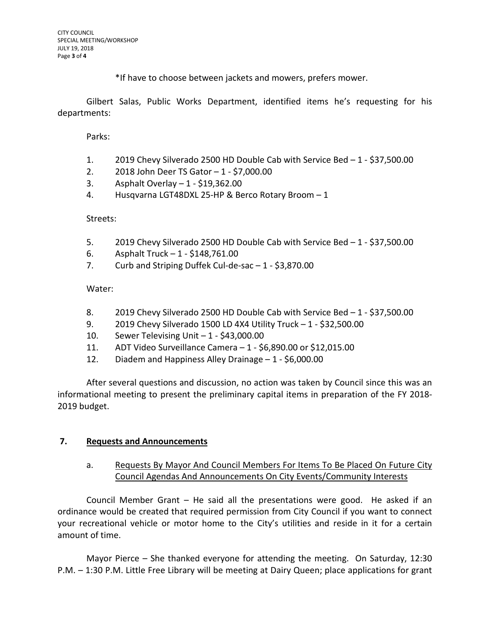\*If have to choose between jackets and mowers, prefers mower.

Gilbert Salas, Public Works Department, identified items he's requesting for his departments:

Parks:

- 1. 2019 Chevy Silverado 2500 HD Double Cab with Service Bed 1 \$37,500.00
- 2. 2018 John Deer TS Gator 1 \$7,000.00
- 3. Asphalt Overlay 1 \$19,362.00
- 4. Husqvarna LGT48DXL 25-HP & Berco Rotary Broom 1

#### Streets:

- 5. 2019 Chevy Silverado 2500 HD Double Cab with Service Bed 1 \$37,500.00
- 6. Asphalt Truck 1 \$148,761.00
- 7. Curb and Striping Duffek Cul-de-sac 1 \$3,870.00

Water:

- 8. 2019 Chevy Silverado 2500 HD Double Cab with Service Bed 1 \$37,500.00
- 9. 2019 Chevy Silverado 1500 LD 4X4 Utility Truck 1 \$32,500.00
- 10. Sewer Televising Unit 1 \$43,000.00
- 11. ADT Video Surveillance Camera 1 \$6,890.00 or \$12,015.00
- 12. Diadem and Happiness Alley Drainage 1 \$6,000.00

After several questions and discussion, no action was taken by Council since this was an informational meeting to present the preliminary capital items in preparation of the FY 2018- 2019 budget.

## **7. Requests and Announcements**

a. Requests By Mayor And Council Members For Items To Be Placed On Future City Council Agendas And Announcements On City Events/Community Interests

Council Member Grant – He said all the presentations were good. He asked if an ordinance would be created that required permission from City Council if you want to connect your recreational vehicle or motor home to the City's utilities and reside in it for a certain amount of time.

Mayor Pierce – She thanked everyone for attending the meeting. On Saturday, 12:30 P.M. – 1:30 P.M. Little Free Library will be meeting at Dairy Queen; place applications for grant